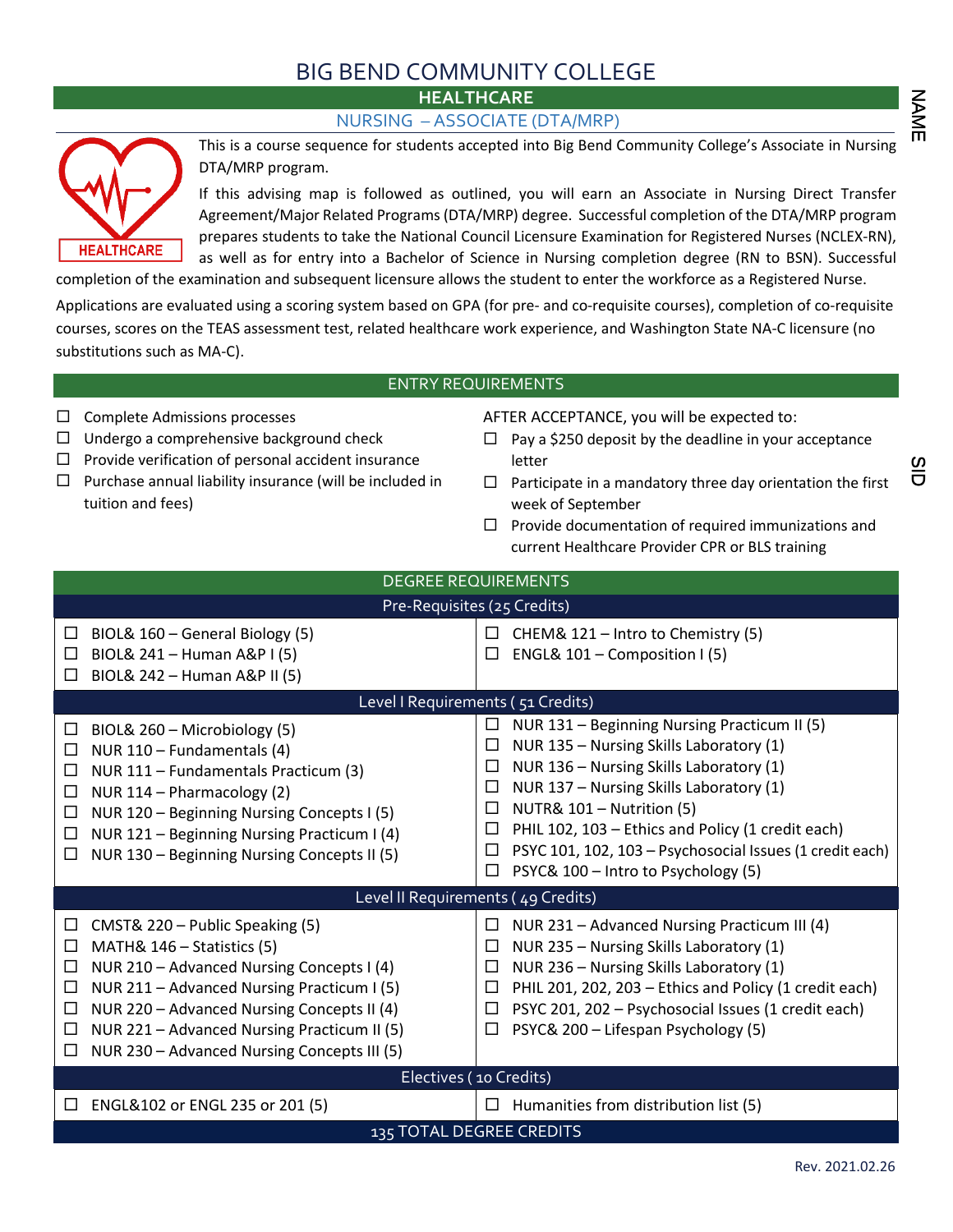## BIG BEND COMMUNITY COLLEGE

NAME ZAME SID SID NO

<u>ທ</u> ō



NURSING – ASSOCIATE (DTA/MRP)



This is a course sequence for students accepted into Big Bend Community College's Associate in Nursing DTA/MRP program.

If this advising map is followed as outlined, you will earn an Associate in Nursing Direct Transfer Agreement/Major Related Programs (DTA/MRP) degree. Successful completion of the DTA/MRP program prepares students to take the National Council Licensure Examination for Registered Nurses (NCLEX-RN), as well as for entry into a Bachelor of Science in Nursing completion degree (RN to BSN). Successful

completion of the examination and subsequent licensure allows the student to enter the workforce as a Registered Nurse.

Applications are evaluated using a scoring system based on GPA (for pre- and co-requisite courses), completion of co-requisite courses, scores on the TEAS assessment test, related healthcare work experience, and Washington State NA-C licensure (no substitutions such as MA-C).

## ENTRY REQUIREMENTS

- $\Box$  Complete Admissions processes
- $\Box$  Undergo a comprehensive background check
- $\Box$  Provide verification of personal accident insurance
- $\square$  Purchase annual liability insurance (will be included in tuition and fees)

AFTER ACCEPTANCE, you will be expected to:

- $\Box$  Pay a \$250 deposit by the deadline in your acceptance letter
- $\Box$  Participate in a mandatory three day orientation the first week of September
- $\Box$  Provide documentation of required immunizations and current Healthcare Provider CPR or BLS training

| <b>DEGREE REQUIREMENTS</b>                                                                                                                                                                                                                                                                                                              |                                                                                                                                                                                                                                                                                                                                                                                                                 |  |  |  |  |
|-----------------------------------------------------------------------------------------------------------------------------------------------------------------------------------------------------------------------------------------------------------------------------------------------------------------------------------------|-----------------------------------------------------------------------------------------------------------------------------------------------------------------------------------------------------------------------------------------------------------------------------------------------------------------------------------------------------------------------------------------------------------------|--|--|--|--|
| Pre-Requisites (25 Credits)                                                                                                                                                                                                                                                                                                             |                                                                                                                                                                                                                                                                                                                                                                                                                 |  |  |  |  |
| BIOL& 160 - General Biology (5)<br>□<br>BIOL& 241 - Human A&P I (5)<br>□<br>BIOL& 242 - Human A&P II (5)<br>$\Box$                                                                                                                                                                                                                      | $\Box$<br>CHEM& 121 - Intro to Chemistry (5)<br>ENGL& $101$ – Composition I (5)<br>□                                                                                                                                                                                                                                                                                                                            |  |  |  |  |
|                                                                                                                                                                                                                                                                                                                                         | Level I Requirements (51 Credits)                                                                                                                                                                                                                                                                                                                                                                               |  |  |  |  |
| BIOL& 260 - Microbiology (5)<br>$\Box$<br>NUR 110 - Fundamentals (4)<br>$\Box$<br>NUR 111 - Fundamentals Practicum (3)<br>□<br>NUR 114 - Pharmacology (2)<br>□<br>NUR 120 - Beginning Nursing Concepts I (5)<br>□<br>NUR 121 - Beginning Nursing Practicum I (4)<br>□<br>NUR 130 - Beginning Nursing Concepts II (5)<br>$\Box$          | NUR 131 - Beginning Nursing Practicum II (5)<br>□<br>NUR 135 - Nursing Skills Laboratory (1)<br>□<br>NUR 136 - Nursing Skills Laboratory (1)<br>□<br>NUR 137 - Nursing Skills Laboratory (1)<br>□<br>NUTR& 101 - Nutrition (5)<br>$\Box$<br>PHIL 102, 103 - Ethics and Policy (1 credit each)<br>□<br>PSYC 101, 102, 103 - Psychosocial Issues (1 credit each)<br>□<br>PSYC& 100 - Intro to Psychology (5)<br>□ |  |  |  |  |
| Level II Requirements (49 Credits)                                                                                                                                                                                                                                                                                                      |                                                                                                                                                                                                                                                                                                                                                                                                                 |  |  |  |  |
| CMST& 220 - Public Speaking (5)<br>ப<br>MATH& 146 - Statistics (5)<br>□<br>NUR 210 - Advanced Nursing Concepts I (4)<br>□<br>NUR 211 - Advanced Nursing Practicum I (5)<br>□<br>NUR 220 - Advanced Nursing Concepts II (4)<br>□<br>NUR 221 - Advanced Nursing Practicum II (5)<br>□<br>NUR 230 - Advanced Nursing Concepts III (5)<br>ш | NUR 231 - Advanced Nursing Practicum III (4)<br>$\Box$<br>NUR 235 - Nursing Skills Laboratory (1)<br>□<br>NUR 236 - Nursing Skills Laboratory (1)<br>□<br>PHIL 201, 202, 203 - Ethics and Policy (1 credit each)<br>$\Box$<br>PSYC 201, 202 - Psychosocial Issues (1 credit each)<br>□<br>PSYC& 200 - Lifespan Psychology (5)<br>□                                                                              |  |  |  |  |
| Electives (10 Credits)                                                                                                                                                                                                                                                                                                                  |                                                                                                                                                                                                                                                                                                                                                                                                                 |  |  |  |  |
| $\Box$ ENGL&102 or ENGL 235 or 201 (5)                                                                                                                                                                                                                                                                                                  | $\Box$ Humanities from distribution list (5)                                                                                                                                                                                                                                                                                                                                                                    |  |  |  |  |
| 135 TOTAL DEGREE CREDITS                                                                                                                                                                                                                                                                                                                |                                                                                                                                                                                                                                                                                                                                                                                                                 |  |  |  |  |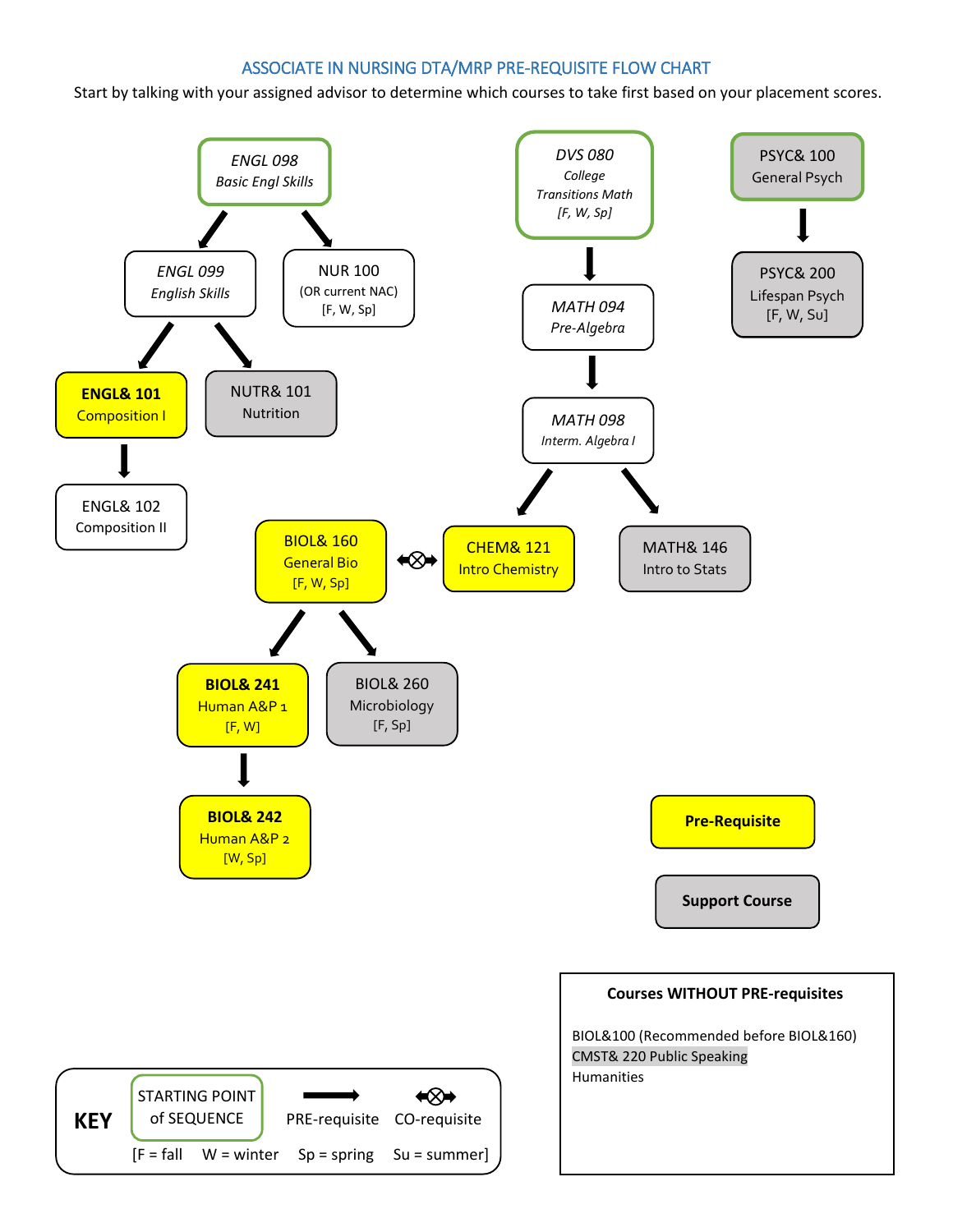## ASSOCIATE IN NURSING DTA/MRP PRE-REQUISITE FLOW CHART

Start by talking with your assigned advisor to determine which courses to take first based on your placement scores.

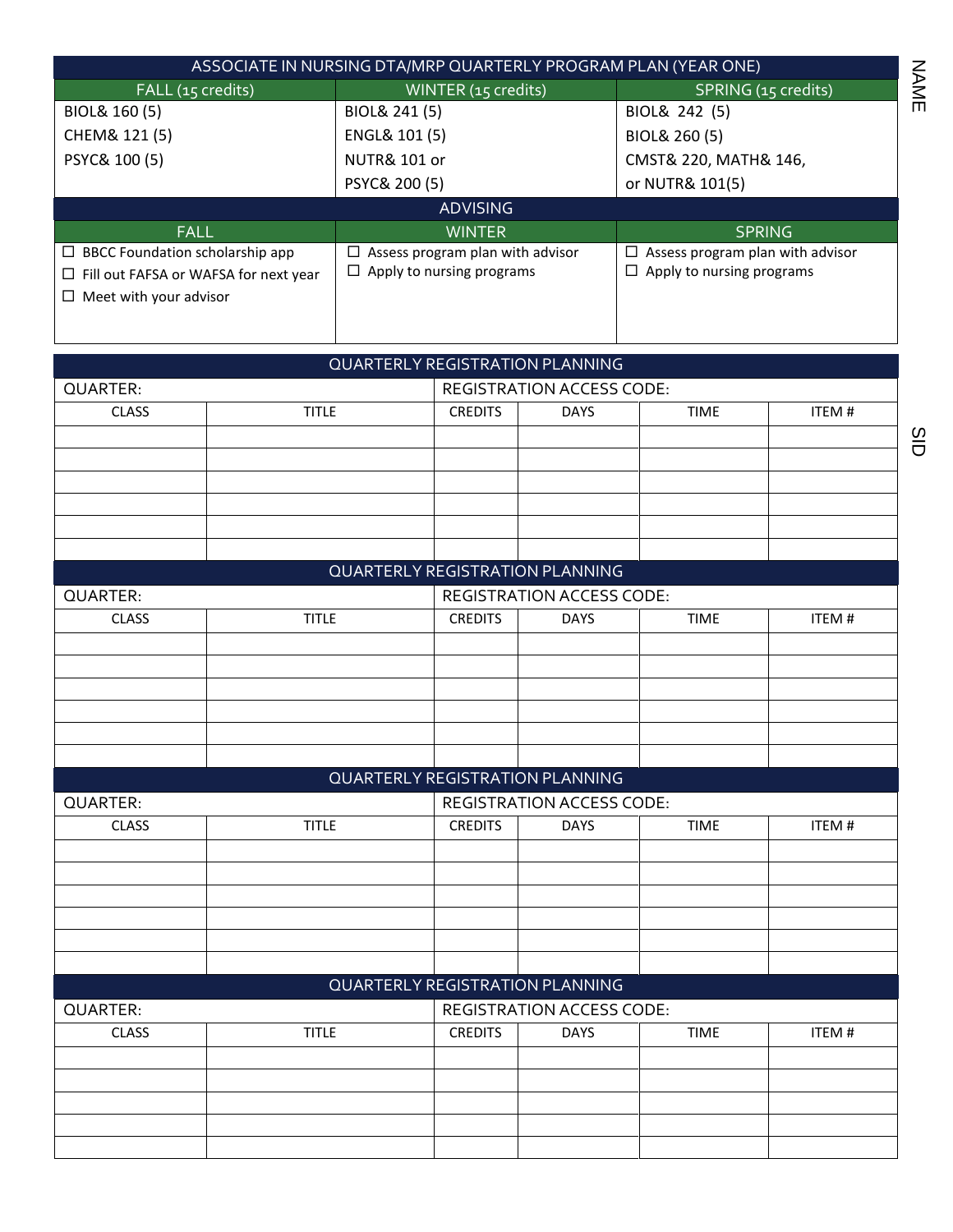| ASSOCIATE IN NURSING DTA/MRP QUARTERLY PROGRAM PLAN (YEAR ONE) |                                       |                                         |  |  |  |
|----------------------------------------------------------------|---------------------------------------|-----------------------------------------|--|--|--|
| FALL (15 credits)                                              | WINTER (15 credits)                   | SPRING (15 credits)                     |  |  |  |
| BIOL& 160 (5)                                                  | BIOL& 241 (5)                         | BIOL& 242 (5)                           |  |  |  |
| CHEM& 121 (5)                                                  | ENGL& 101 (5)                         | BIOL& 260 (5)                           |  |  |  |
| PSYC& 100 (5)                                                  | <b>NUTR&amp; 101 or</b>               | CMST& 220, MATH& 146,                   |  |  |  |
|                                                                | PSYC& 200 (5)                         | or NUTR& 101(5)                         |  |  |  |
| <b>ADVISING</b>                                                |                                       |                                         |  |  |  |
|                                                                |                                       |                                         |  |  |  |
| <b>FALL</b>                                                    | <b>WINTER</b>                         | <b>SPRING</b>                           |  |  |  |
| $\Box$ BBCC Foundation scholarship app                         | Assess program plan with advisor<br>⊔ | $\Box$ Assess program plan with advisor |  |  |  |
| $\Box$ Fill out FAFSA or WAFSA for next year                   | $\Box$ Apply to nursing programs      | $\Box$ Apply to nursing programs        |  |  |  |
| Meet with your advisor<br>П.                                   |                                       |                                         |  |  |  |

|                 |              | <b>QUARTERLY REGISTRATION PLANNING</b> |                                  |                                  |       |  |
|-----------------|--------------|----------------------------------------|----------------------------------|----------------------------------|-------|--|
| QUARTER:        |              |                                        | <b>REGISTRATION ACCESS CODE:</b> |                                  |       |  |
| <b>CLASS</b>    | <b>TITLE</b> | <b>CREDITS</b>                         | <b>DAYS</b>                      | <b>TIME</b>                      | ITEM# |  |
|                 |              |                                        |                                  |                                  |       |  |
|                 |              |                                        |                                  |                                  |       |  |
|                 |              |                                        |                                  |                                  |       |  |
|                 |              |                                        |                                  |                                  |       |  |
|                 |              |                                        |                                  |                                  |       |  |
|                 |              |                                        |                                  |                                  |       |  |
|                 |              | <b>QUARTERLY REGISTRATION PLANNING</b> |                                  |                                  |       |  |
| <b>QUARTER:</b> |              |                                        |                                  | <b>REGISTRATION ACCESS CODE:</b> |       |  |
| <b>CLASS</b>    | <b>TITLE</b> | <b>CREDITS</b>                         | <b>DAYS</b>                      | <b>TIME</b>                      | ITEM# |  |
|                 |              |                                        |                                  |                                  |       |  |
|                 |              |                                        |                                  |                                  |       |  |
|                 |              |                                        |                                  |                                  |       |  |
|                 |              |                                        |                                  |                                  |       |  |
|                 |              |                                        |                                  |                                  |       |  |
|                 |              |                                        |                                  |                                  |       |  |
|                 |              | <b>QUARTERLY REGISTRATION PLANNING</b> |                                  |                                  |       |  |
| QUARTER:        |              | <b>REGISTRATION ACCESS CODE:</b>       |                                  |                                  |       |  |
| <b>CLASS</b>    | <b>TITLE</b> | <b>CREDITS</b>                         | <b>DAYS</b>                      | <b>TIME</b>                      | ITEM# |  |
|                 |              |                                        |                                  |                                  |       |  |
|                 |              |                                        |                                  |                                  |       |  |
|                 |              |                                        |                                  |                                  |       |  |
|                 |              |                                        |                                  |                                  |       |  |
|                 |              |                                        |                                  |                                  |       |  |
|                 |              |                                        |                                  |                                  |       |  |
|                 |              | <b>QUARTERLY REGISTRATION PLANNING</b> |                                  |                                  |       |  |
| <b>QUARTER:</b> |              |                                        | <b>REGISTRATION ACCESS CODE:</b> |                                  |       |  |
| <b>CLASS</b>    | <b>TITLE</b> | <b>CREDITS</b>                         | <b>DAYS</b>                      | <b>TIME</b>                      | ITEM# |  |
|                 |              |                                        |                                  |                                  |       |  |
|                 |              |                                        |                                  |                                  |       |  |
|                 |              |                                        |                                  |                                  |       |  |
|                 |              |                                        |                                  |                                  |       |  |
|                 |              |                                        |                                  |                                  |       |  |

NAME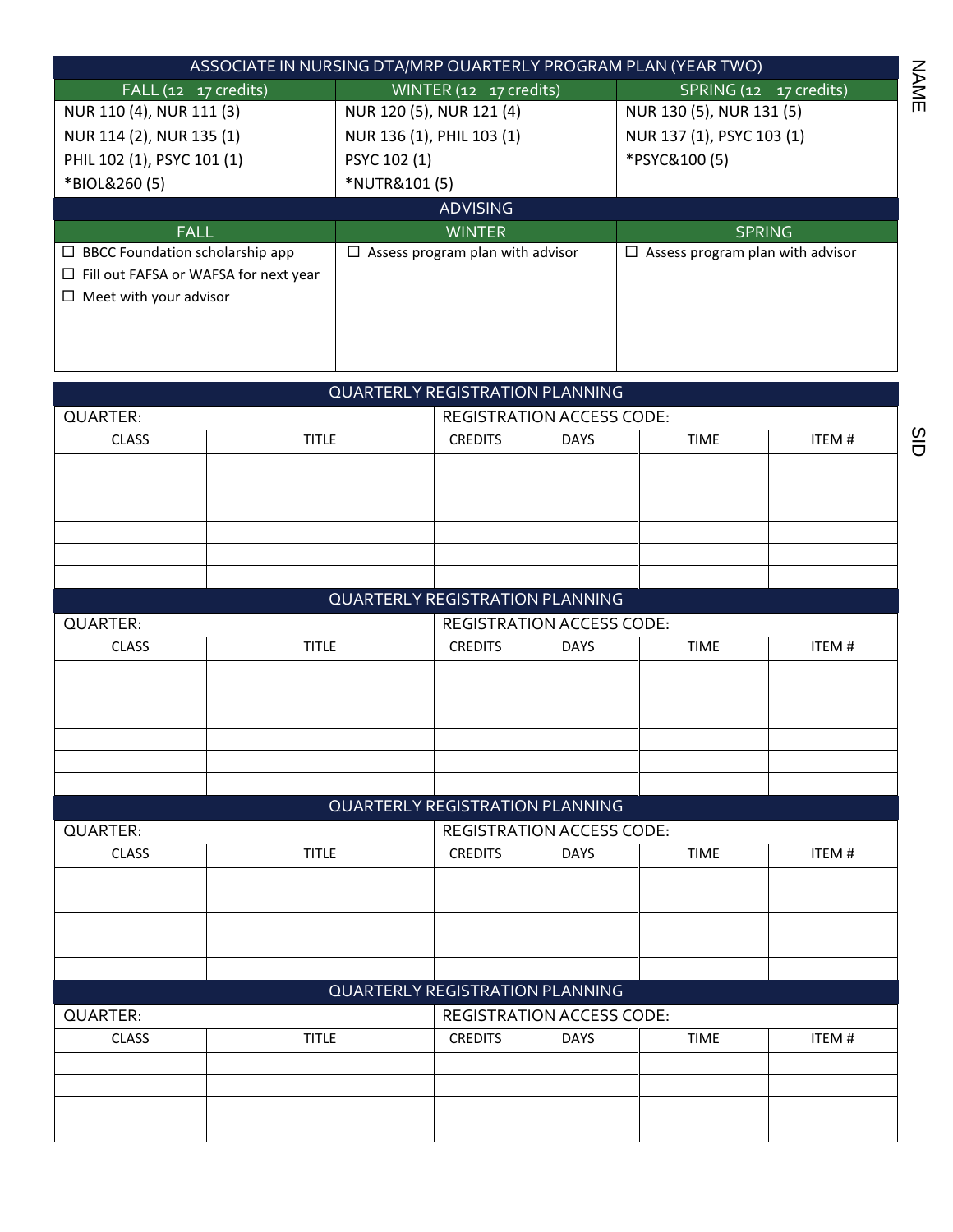| ASSOCIATE IN NURSING DTA/MRP QUARTERLY PROGRAM PLAN (YEAR TWO) |                                       |                                       |  |  |  |  |
|----------------------------------------------------------------|---------------------------------------|---------------------------------------|--|--|--|--|
| FALL (12 17 credits)                                           | WINTER (12 17 credits)                | SPRING(12 17 17)                      |  |  |  |  |
| NUR 110 (4), NUR 111 (3)                                       | NUR 120 (5), NUR 121 (4)              | NUR 130 (5), NUR 131 (5)              |  |  |  |  |
| NUR 114 (2), NUR 135 (1)                                       | NUR 136 (1), PHIL 103 (1)             | NUR 137 (1), PSYC 103 (1)             |  |  |  |  |
| PHIL 102 (1), PSYC 101 (1)                                     | PSYC 102 (1)                          | *PSYC&100(5)                          |  |  |  |  |
| *BIOL&260(5)                                                   | *NUTR&101 (5)                         |                                       |  |  |  |  |
| <b>ADVISING</b>                                                |                                       |                                       |  |  |  |  |
|                                                                |                                       |                                       |  |  |  |  |
| <b>FALL</b>                                                    | <b>WINTER</b>                         | <b>SPRING</b>                         |  |  |  |  |
| $\Box$ BBCC Foundation scholarship app                         | Assess program plan with advisor<br>ப | Assess program plan with advisor<br>□ |  |  |  |  |
| $\Box$ Fill out FAFSA or WAFSA for next year                   |                                       |                                       |  |  |  |  |
| Meet with your advisor<br>$\Box$                               |                                       |                                       |  |  |  |  |
|                                                                |                                       |                                       |  |  |  |  |
|                                                                |                                       |                                       |  |  |  |  |

| QUARTERLY REGISTRATION PLANNING              |              |                                        |             |             |       |
|----------------------------------------------|--------------|----------------------------------------|-------------|-------------|-------|
| QUARTER:                                     |              | <b>REGISTRATION ACCESS CODE:</b>       |             |             |       |
| <b>CLASS</b>                                 | <b>TITLE</b> | <b>CREDITS</b>                         | <b>DAYS</b> | <b>TIME</b> | ITEM# |
|                                              |              |                                        |             |             |       |
|                                              |              |                                        |             |             |       |
|                                              |              |                                        |             |             |       |
|                                              |              |                                        |             |             |       |
|                                              |              |                                        |             |             |       |
|                                              |              |                                        |             |             |       |
|                                              |              | <b>QUARTERLY REGISTRATION PLANNING</b> |             |             |       |
| QUARTER:                                     |              | <b>REGISTRATION ACCESS CODE:</b>       |             |             |       |
| <b>CLASS</b>                                 | <b>TITLE</b> | <b>CREDITS</b>                         | <b>DAYS</b> | <b>TIME</b> | ITEM# |
|                                              |              |                                        |             |             |       |
|                                              |              |                                        |             |             |       |
|                                              |              |                                        |             |             |       |
|                                              |              |                                        |             |             |       |
|                                              |              |                                        |             |             |       |
|                                              |              |                                        |             |             |       |
|                                              |              | <b>QUARTERLY REGISTRATION PLANNING</b> |             |             |       |
| QUARTER:                                     |              | <b>REGISTRATION ACCESS CODE:</b>       |             |             |       |
| <b>CLASS</b>                                 | <b>TITLE</b> | <b>CREDITS</b>                         | <b>DAYS</b> | <b>TIME</b> | ITEM# |
|                                              |              |                                        |             |             |       |
|                                              |              |                                        |             |             |       |
|                                              |              |                                        |             |             |       |
|                                              |              |                                        |             |             |       |
|                                              |              |                                        |             |             |       |
|                                              |              | <b>QUARTERLY REGISTRATION PLANNING</b> |             |             |       |
| <b>REGISTRATION ACCESS CODE:</b><br>QUARTER: |              |                                        |             |             |       |
| <b>CLASS</b>                                 | <b>TITLE</b> | <b>CREDITS</b>                         | <b>DAYS</b> | <b>TIME</b> | ITEM# |
|                                              |              |                                        |             |             |       |
|                                              |              |                                        |             |             |       |
|                                              |              |                                        |             |             |       |
|                                              |              |                                        |             |             |       |

NAME